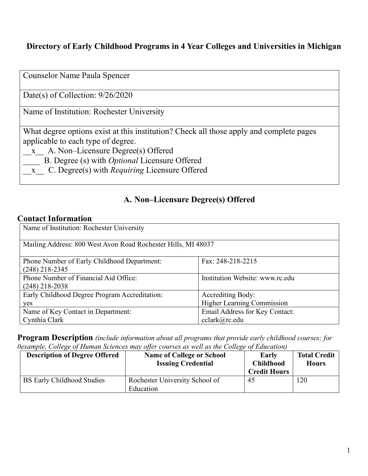## **Directory of Early Childhood Programs in 4 Year Colleges and Universities in Michigan**

| <b>Counselor Name Paula Spencer</b>                                                                                                                                                                                                                                                     |
|-----------------------------------------------------------------------------------------------------------------------------------------------------------------------------------------------------------------------------------------------------------------------------------------|
| Date(s) of Collection: $9/26/2020$                                                                                                                                                                                                                                                      |
| Name of Institution: Rochester University                                                                                                                                                                                                                                               |
| What degree options exist at this institution? Check all those apply and complete pages<br>applicable to each type of degree.<br>x A. Non-Licensure Degree(s) Offered<br>B. Degree (s) with <i>Optional</i> Licensure Offered<br>x C. Degree(s) with <i>Requiring</i> Licensure Offered |

#### **A. Non–Licensure Degree(s) Offered**

#### **Contact Information**

| Name of Institution: Rochester University                       |                                   |  |
|-----------------------------------------------------------------|-----------------------------------|--|
| Mailing Address: 800 West Avon Road Rochester Hills, MI 48037   |                                   |  |
| Phone Number of Early Childhood Department:<br>$(248)$ 218-2345 | Fax: 248-218-2215                 |  |
| Phone Number of Financial Aid Office:<br>$(248)$ 218-2038       | Institution Website: www.rc.edu   |  |
| Early Childhood Degree Program Accreditation:                   | <b>Accrediting Body:</b>          |  |
| yes                                                             | <b>Higher Learning Commission</b> |  |
| Name of Key Contact in Department:                              | Email Address for Key Contact:    |  |
| Cynthia Clark                                                   | cclark@rc.edu                     |  |

**Program Description** *(include information about all programs that provide early childhood courses; for 0example, College of Human Sciences may offer courses as well as the College of Education)*

| <b>Description of Degree Offered</b> | <b>Name of College or School</b><br><b>Issuing Credential</b> | Early<br><b>Childhood</b><br><b>Credit Hours</b> | <b>Total Credit</b><br><b>Hours</b> |
|--------------------------------------|---------------------------------------------------------------|--------------------------------------------------|-------------------------------------|
| <b>BS Early Childhood Studies</b>    | Rochester University School of<br>Education                   | 45                                               | 120                                 |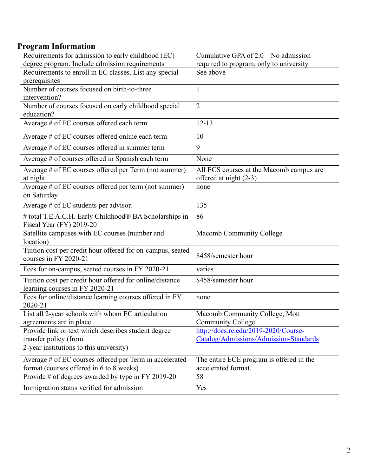## **Program Information**

| Requirements for admission to early childhood (EC)         | Cumulative GPA of $2.0$ – No admission   |
|------------------------------------------------------------|------------------------------------------|
| degree program. Include admission requirements             | required to program, only to university  |
| Requirements to enroll in EC classes. List any special     | See above                                |
| prerequisites                                              |                                          |
| Number of courses focused on birth-to-three                | $\mathbf{1}$                             |
| intervention?                                              |                                          |
| Number of courses focused on early childhood special       | $\overline{2}$                           |
| education?                                                 |                                          |
| Average # of EC courses offered each term                  | $12 - 13$                                |
| Average # of EC courses offered online each term           | 10                                       |
| Average # of EC courses offered in summer term             | 9                                        |
| Average # of courses offered in Spanish each term          | None                                     |
| Average # of EC courses offered per Term (not summer)      | All ECS courses at the Macomb campus are |
| at night                                                   | offered at night (2-3)                   |
| Average # of EC courses offered per term (not summer)      | none                                     |
| on Saturday                                                |                                          |
| Average # of EC students per advisor.                      | 135                                      |
| # total T.E.A.C.H. Early Childhood® BA Scholarships in     | 86                                       |
| Fiscal Year (FY) 2019-20                                   |                                          |
| Satellite campuses with EC courses (number and             | Macomb Community College                 |
| location)                                                  |                                          |
| Tuition cost per credit hour offered for on-campus, seated | \$458/semester hour                      |
| courses in FY 2020-21                                      |                                          |
| Fees for on-campus, seated courses in FY 2020-21           | varies                                   |
| Tuition cost per credit hour offered for online/distance   | \$458/semester hour                      |
| learning courses in FY 2020-21                             |                                          |
| Fees for online/distance learning courses offered in FY    | none                                     |
| 2020-21                                                    |                                          |
| List all 2-year schools with whom EC articulation          | Macomb Community College, Mott           |
| agreements are in place                                    | <b>Community College</b>                 |
| Provide link or text which describes student degree        | http://docs.rc.edu/2019-2020/Course-     |
| transfer policy (from                                      | Catalog/Admissions/Admission-Standards   |
| 2-year institutions to this university)                    |                                          |
| Average # of EC courses offered per Term in accelerated    | The entire ECE program is offered in the |
| format (courses offered in 6 to 8 weeks)                   | accelerated format.                      |
| Provide # of degrees awarded by type in FY 2019-20         | 58                                       |
| Immigration status verified for admission                  | Yes                                      |
|                                                            |                                          |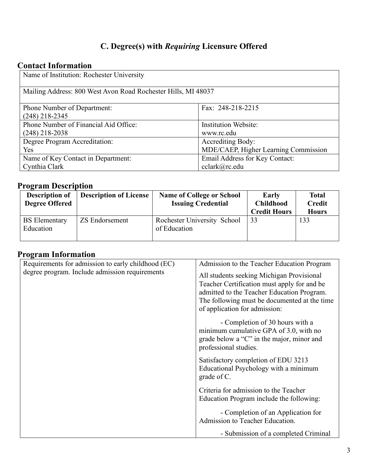# **C. Degree(s) with** *Requiring* **Licensure Offered**

## **Contact Information**

| Name of Institution: Rochester University                     |                                      |  |
|---------------------------------------------------------------|--------------------------------------|--|
| Mailing Address: 800 West Avon Road Rochester Hills, MI 48037 |                                      |  |
| <b>Phone Number of Department:</b>                            | Fax: 248-218-2215                    |  |
| $(248)$ 218-2345                                              |                                      |  |
| Phone Number of Financial Aid Office:                         | <b>Institution Website:</b>          |  |
| $(248)$ 218-2038                                              | www.rc.edu                           |  |
| Degree Program Accreditation:                                 | Accrediting Body:                    |  |
| Yes                                                           | MDE/CAEP, Higher Learning Commission |  |
| Name of Key Contact in Department:                            | Email Address for Key Contact:       |  |
| Cynthia Clark                                                 | cclark@rc.edu                        |  |

# **Program Description**

| Description of<br><b>Degree Offered</b> | <b>Description of License</b> | <b>Name of College or School</b><br><b>Issuing Credential</b> | <b>Early</b><br><b>Childhood</b><br><b>Credit Hours</b> | <b>Total</b><br><b>Credit</b><br><b>Hours</b> |
|-----------------------------------------|-------------------------------|---------------------------------------------------------------|---------------------------------------------------------|-----------------------------------------------|
| <b>BS</b> Elementary<br>Education       | <b>ZS Endorsement</b>         | Rochester University School<br>of Education                   | 33                                                      | 133                                           |

### **Program Information**

| Requirements for admission to early childhood (EC) | Admission to the Teacher Education Program                                                                                                                                                                              |
|----------------------------------------------------|-------------------------------------------------------------------------------------------------------------------------------------------------------------------------------------------------------------------------|
| degree program. Include admission requirements     | All students seeking Michigan Provisional<br>Teacher Certification must apply for and be<br>admitted to the Teacher Education Program.<br>The following must be documented at the time<br>of application for admission: |
|                                                    | - Completion of 30 hours with a<br>minimum cumulative GPA of 3.0, with no<br>grade below a "C" in the major, minor and<br>professional studies.                                                                         |
|                                                    | Satisfactory completion of EDU 3213<br>Educational Psychology with a minimum<br>grade of C.                                                                                                                             |
|                                                    | Criteria for admission to the Teacher<br>Education Program include the following:                                                                                                                                       |
|                                                    | - Completion of an Application for<br>Admission to Teacher Education.                                                                                                                                                   |
|                                                    | - Submission of a completed Criminal                                                                                                                                                                                    |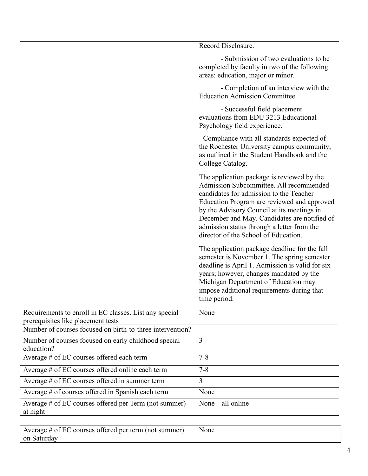|                                                                                              | Record Disclosure.                                                                                                                                                                                                                                                                                                                                                  |
|----------------------------------------------------------------------------------------------|---------------------------------------------------------------------------------------------------------------------------------------------------------------------------------------------------------------------------------------------------------------------------------------------------------------------------------------------------------------------|
|                                                                                              | - Submission of two evaluations to be<br>completed by faculty in two of the following<br>areas: education, major or minor.                                                                                                                                                                                                                                          |
|                                                                                              | - Completion of an interview with the<br><b>Education Admission Committee.</b>                                                                                                                                                                                                                                                                                      |
|                                                                                              | - Successful field placement<br>evaluations from EDU 3213 Educational<br>Psychology field experience.                                                                                                                                                                                                                                                               |
|                                                                                              | - Compliance with all standards expected of<br>the Rochester University campus community,<br>as outlined in the Student Handbook and the<br>College Catalog.                                                                                                                                                                                                        |
|                                                                                              | The application package is reviewed by the<br>Admission Subcommittee. All recommended<br>candidates for admission to the Teacher<br>Education Program are reviewed and approved<br>by the Advisory Council at its meetings in<br>December and May. Candidates are notified of<br>admission status through a letter from the<br>director of the School of Education. |
|                                                                                              | The application package deadline for the fall<br>semester is November 1. The spring semester<br>deadline is April 1. Admission is valid for six<br>years; however, changes mandated by the<br>Michigan Department of Education may<br>impose additional requirements during that<br>time period.                                                                    |
| Requirements to enroll in EC classes. List any special<br>prerequisites like placement tests | None                                                                                                                                                                                                                                                                                                                                                                |
| Number of courses focused on birth-to-three intervention?                                    |                                                                                                                                                                                                                                                                                                                                                                     |
| Number of courses focused on early childhood special<br>education?                           | $\overline{3}$                                                                                                                                                                                                                                                                                                                                                      |
| Average # of EC courses offered each term                                                    | $7 - 8$                                                                                                                                                                                                                                                                                                                                                             |
| Average # of EC courses offered online each term                                             | $7 - 8$                                                                                                                                                                                                                                                                                                                                                             |
| Average # of EC courses offered in summer term                                               | $\overline{3}$                                                                                                                                                                                                                                                                                                                                                      |
| Average # of courses offered in Spanish each term                                            | None                                                                                                                                                                                                                                                                                                                                                                |
| Average # of EC courses offered per Term (not summer)<br>at night                            | None $-$ all online                                                                                                                                                                                                                                                                                                                                                 |

| Average # of EC courses offered per term (not summer) | None |
|-------------------------------------------------------|------|
| on Saturday                                           |      |